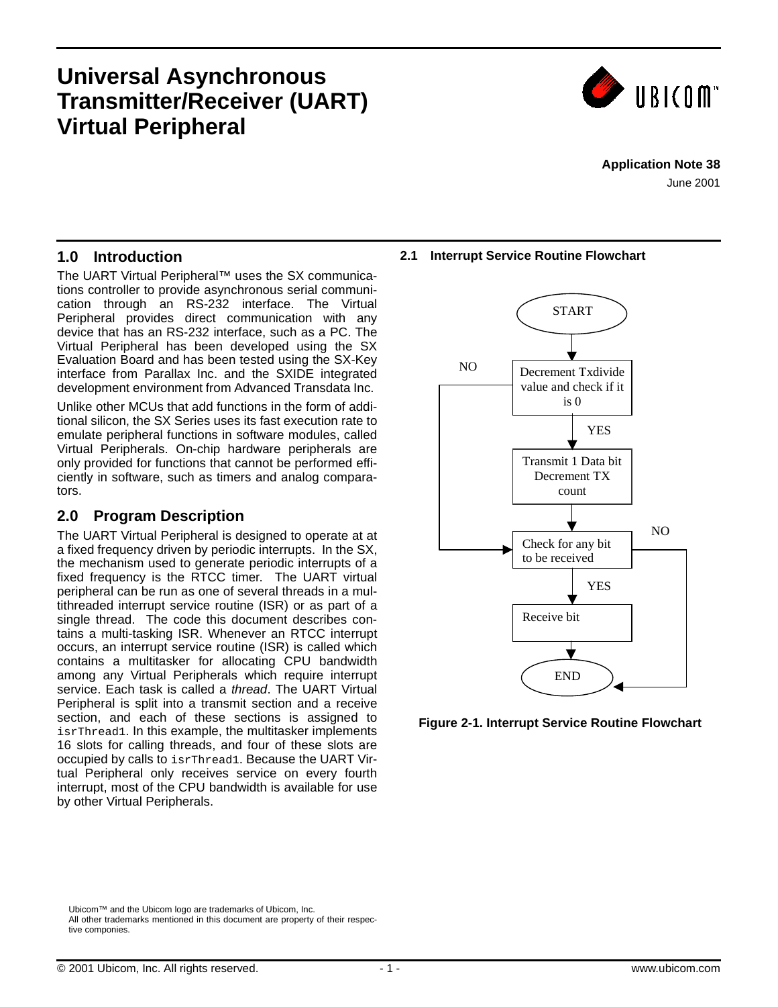# **Universal Asynchronous Transmitter/Receiver (UART) Virtual Peripheral**



### **Application Note 38**

June 2001

### **1.0 Introduction**

The UART Virtual Peripheral™ uses the SX communications controller to provide asynchronous serial communication through an RS-232 interface. The Virtual Peripheral provides direct communication with any device that has an RS-232 interface, such as a PC. The Virtual Peripheral has been developed using the SX Evaluation Board and has been tested using the SX-Key interface from Parallax Inc. and the SXIDE integrated development environment from Advanced Transdata Inc.

Unlike other MCUs that add functions in the form of additional silicon, the SX Series uses its fast execution rate to emulate peripheral functions in software modules, called Virtual Peripherals. On-chip hardware peripherals are only provided for functions that cannot be performed efficiently in software, such as timers and analog comparators.

## **2.0 Program Description**

The UART Virtual Peripheral is designed to operate at at a fixed frequency driven by periodic interrupts. In the SX, the mechanism used to generate periodic interrupts of a fixed frequency is the RTCC timer. The UART virtual peripheral can be run as one of several threads in a multithreaded interrupt service routine (ISR) or as part of a single thread. The code this document describes contains a multi-tasking ISR. Whenever an RTCC interrupt occurs, an interrupt service routine (ISR) is called which contains a multitasker for allocating CPU bandwidth among any Virtual Peripherals which require interrupt service. Each task is called a *thread*. The UART Virtual Peripheral is split into a transmit section and a receive section, and each of these sections is assigned to isrThread1. In this example, the multitasker implements 16 slots for calling threads, and four of these slots are occupied by calls to isrThread1. Because the UART Virtual Peripheral only receives service on every fourth interrupt, most of the CPU bandwidth is available for use by other Virtual Peripherals.

#### **2.1 Interrupt Service Routine Flowchart**



![](_page_0_Figure_11.jpeg)

Ubicom™ and the Ubicom logo are trademarks of Ubicom, Inc. All other trademarks mentioned in this document are property of their respective componies.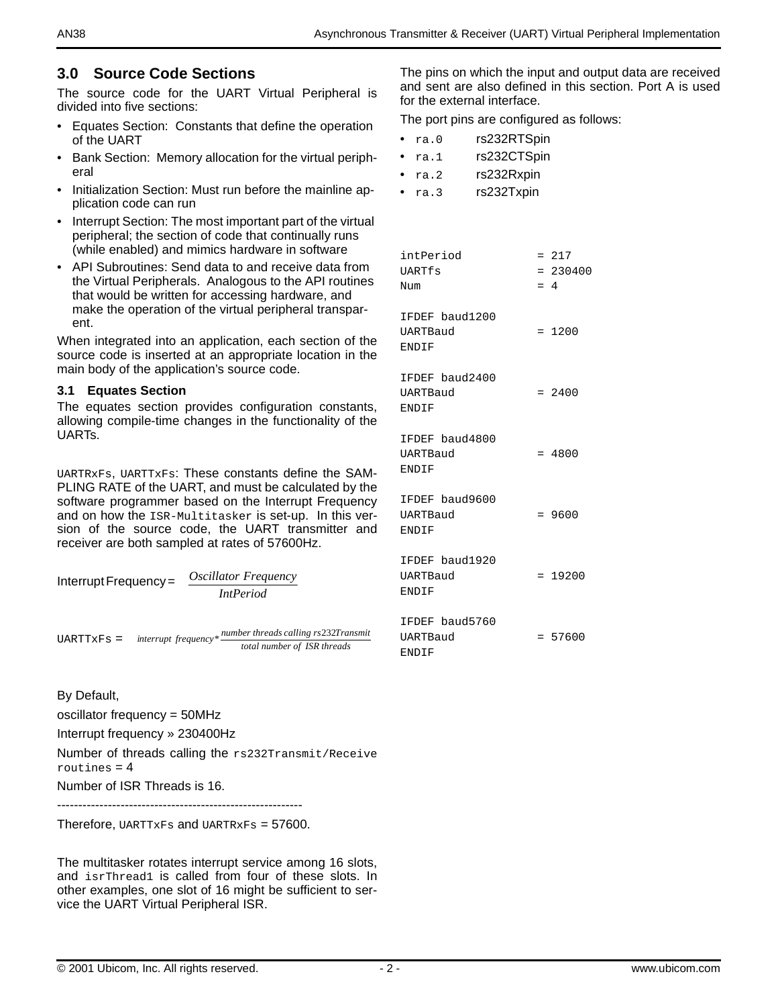### **3.0 Source Code Sections**

The source code for the UART Virtual Peripheral is divided into five sections:

- Equates Section: Constants that define the operation of the UART
- Bank Section: Memory allocation for the virtual peripheral
- Initialization Section: Must run before the mainline application code can run
- Interrupt Section: The most important part of the virtual peripheral; the section of code that continually runs (while enabled) and mimics hardware in software
- API Subroutines: Send data to and receive data from the Virtual Peripherals. Analogous to the API routines that would be written for accessing hardware, and make the operation of the virtual peripheral transparent.

When integrated into an application, each section of the source code is inserted at an appropriate location in the main body of the application's source code.

#### **3.1 Equates Section**

The equates section provides configuration constants, allowing compile-time changes in the functionality of the UARTs.

UARTRxFs, UARTTxFs: These constants define the SAM-PLING RATE of the UART, and must be calculated by the software programmer based on the Interrupt Frequency and on how the ISR-Multitasker is set-up. In this version of the source code, the UART transmitter and receiver are both sampled at rates of 57600Hz.

Interrupt Frequency = 
$$
\frac{Oscillator\ Frequency}{IntPeriod}
$$

\nUARTTXFS = interrupt\ frequency\* \frac{number\ threads\ calling\ rs232Transmit

*total number of ISR threads*

By Default,

oscillator frequency = 50MHz

Interrupt frequency » 230400Hz

Number of threads calling the rs232Transmit/Receive routines  $= 4$ 

Number of ISR Threads is 16.

----------------------------------------------------------

Therefore, UARTTXFs and UARTRXFs =  $57600$ .

The multitasker rotates interrupt service among 16 slots, and isrThread1 is called from four of these slots. In other examples, one slot of 16 might be sufficient to service the UART Virtual Peripheral ISR.

The pins on which the input and output data are received and sent are also defined in this section. Port A is used for the external interface.

The port pins are configured as follows:

| ra.O | rs232RTSpin |
|------|-------------|
|      |             |

| ra.1 | rs232CTSpin |
|------|-------------|
|      |             |

- ra.2 rs232Rxpin
- ra.3 rs232Txpin

| intPeriod<br>UARTfs<br>Num                        | $= 4$ | $= 217$<br>$= 230400$ |
|---------------------------------------------------|-------|-----------------------|
| IFDEF baud1200<br><b>UARTBaud</b><br><b>ENDIF</b> |       | $= 1200$              |
| IFDEF baud2400<br><b>UARTBaud</b><br><b>ENDIF</b> |       | $= 2400$              |
| IFDEF baud4800<br>UARTBaud<br><b>ENDIF</b>        |       | $= 4800$              |
| IFDEF baud9600<br><b>UARTBaud</b><br><b>ENDIF</b> |       | $= 9600$              |
| IFDEF baud1920<br>UARTBaud<br><b>ENDIF</b>        |       | $= 19200$             |
| IFDEF baud5760<br><b>UARTBaud</b><br><b>ENDIF</b> |       | $= 57600$             |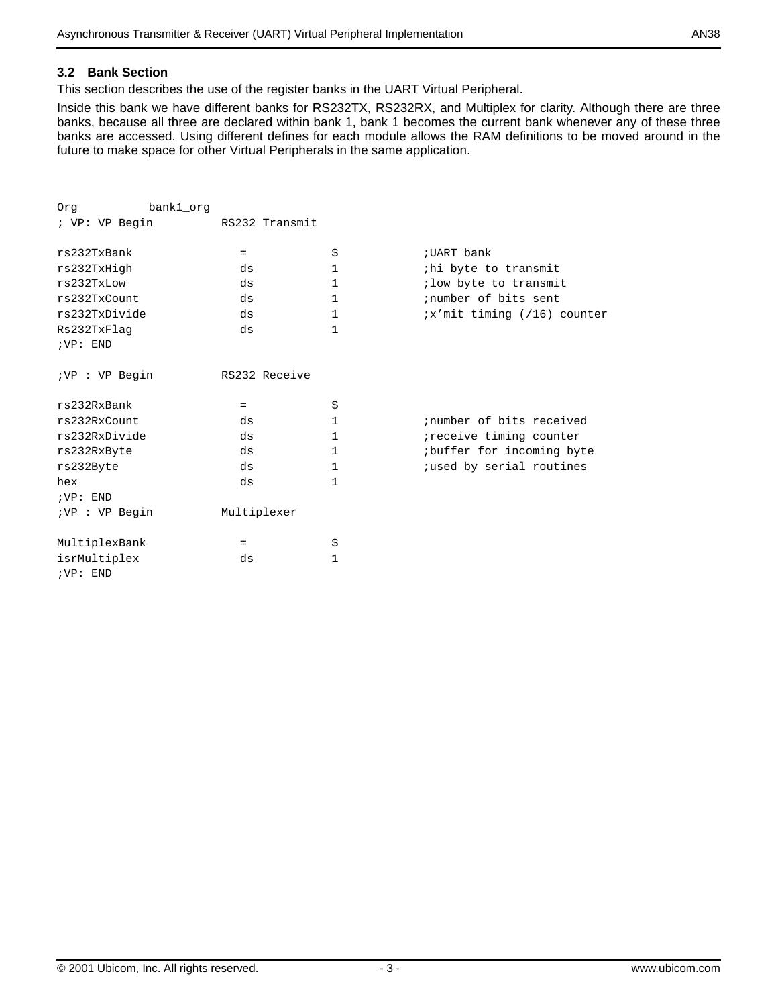#### **3.2 Bank Section**

This section describes the use of the register banks in the UART Virtual Peripheral.

Inside this bank we have different banks for RS232TX, RS232RX, and Multiplex for clarity. Although there are three banks, because all three are declared within bank 1, bank 1 becomes the current bank whenever any of these three banks are accessed. Using different defines for each module allows the RAM definitions to be moved around in the future to make space for other Virtual Peripherals in the same application.

| Orq             | bank1_org |                |             |                             |
|-----------------|-----------|----------------|-------------|-----------------------------|
| ; VP: VP Begin  |           | RS232 Transmit |             |                             |
| rs232TxBank     | $=$       | \$             | ; UART bank |                             |
| rs232TxHigh     | ds        | $\mathbf{1}$   |             | ihi byte to transmit        |
| rs232TxLow      | ds        | $\mathbf{1}$   |             | ; low byte to transmit      |
| rs232TxCount    | ds        | $\mathbf{1}$   |             | inumber of bits sent        |
| rs232TxDivide   | ds        | $\mathbf{1}$   |             | ix'mit timing (/16) counter |
| Rs232TxFlaq     | ds        | $\mathbf{1}$   |             |                             |
| iVP: END        |           |                |             |                             |
| ; VP : VP Begin |           | RS232 Receive  |             |                             |
| rs232RxBank     | $=$       | \$             |             |                             |
| rs232RxCount    | ds        | 1              |             | inumber of bits received    |
| rs232RxDivide   | ds        | 1              |             | ireceive timing counter     |
| rs232RxByte     | ds        | 1              |             | ibuffer for incoming byte   |
| rs232Byte       | ds        | 1              |             | jused by serial routines    |
| hex             | ds        | $\mathbf{1}$   |             |                             |
| iVP: END        |           |                |             |                             |
| ; VP : VP Begin |           | Multiplexer    |             |                             |
| MultiplexBank   | $=$       | \$             |             |                             |
| isrMultiplex    | ds        | $\mathbf{1}$   |             |                             |
| IVP: END        |           |                |             |                             |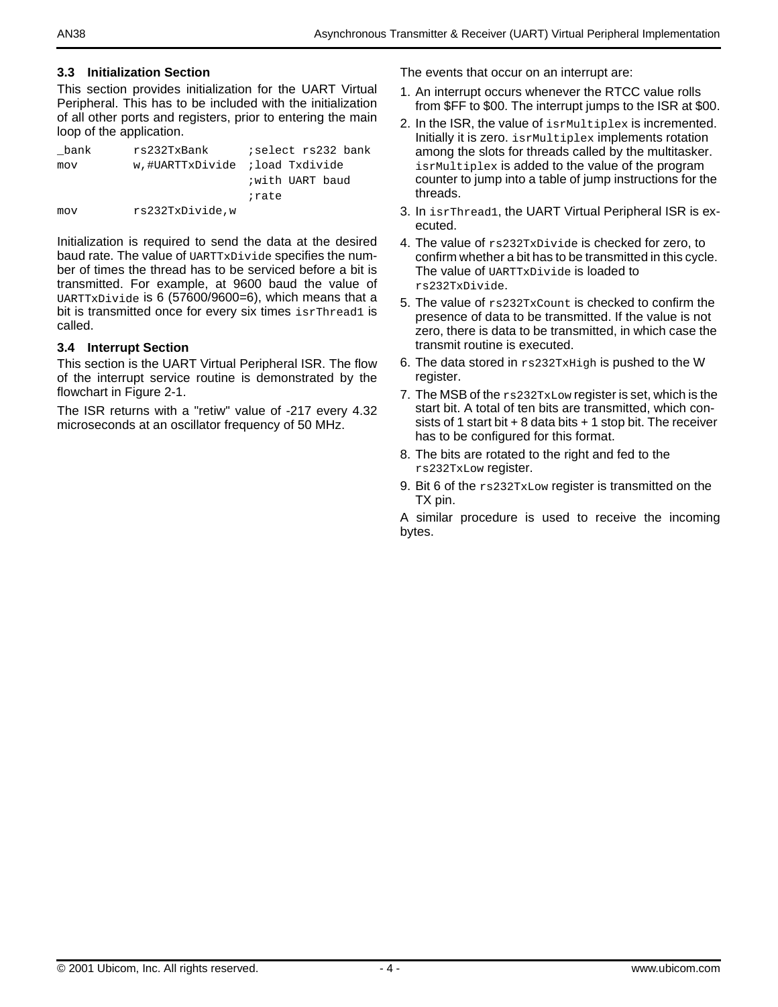#### **3.3 Initialization Section**

This section provides initialization for the UART Virtual Peripheral. This has to be included with the initialization of all other ports and registers, prior to entering the main loop of the application.

| bank | rs232TxBank                    | ;select rs232 bank |
|------|--------------------------------|--------------------|
| mov  | w.#UARTTxDivide ;load Txdivide |                    |
|      |                                | with UART baud     |
|      |                                | irate              |
| mov  | rs232TxDivide.w                |                    |

Initialization is required to send the data at the desired baud rate. The value of UARTTxDivide specifies the number of times the thread has to be serviced before a bit is transmitted. For example, at 9600 baud the value of UARTTxDivide is 6 (57600/9600=6), which means that a bit is transmitted once for every six times isrThread1 is called.

#### **3.4 Interrupt Section**

This section is the UART Virtual Peripheral ISR. The flow of the interrupt service routine is demonstrated by the flowchart in Figure 2-1.

The ISR returns with a "retiw" value of -217 every 4.32 microseconds at an oscillator frequency of 50 MHz.

The events that occur on an interrupt are:

- 1. An interrupt occurs whenever the RTCC value rolls from \$FF to \$00. The interrupt jumps to the ISR at \$00.
- 2. In the ISR, the value of isrMultiplex is incremented. Initially it is zero. isrMultiplex implements rotation among the slots for threads called by the multitasker. isrMultiplex is added to the value of the program counter to jump into a table of jump instructions for the threads.
- 3. In isrThread1, the UART Virtual Peripheral ISR is executed.
- 4. The value of rs232TxDivide is checked for zero, to confirm whether a bit has to be transmitted in this cycle. The value of UARTTxDivide is loaded to rs232TxDivide.
- 5. The value of rs232TxCount is checked to confirm the presence of data to be transmitted. If the value is not zero, there is data to be transmitted, in which case the transmit routine is executed.
- 6. The data stored in rs232TxHigh is pushed to the W register.
- 7. The MSB of the rs232TxLow register is set, which is the start bit. A total of ten bits are transmitted, which consists of 1 start bit  $+ 8$  data bits  $+ 1$  stop bit. The receiver has to be configured for this format.
- 8. The bits are rotated to the right and fed to the rs232TxLow register.
- 9. Bit 6 of the  $rs232TxLow$  register is transmitted on the TX pin.

A similar procedure is used to receive the incoming bytes.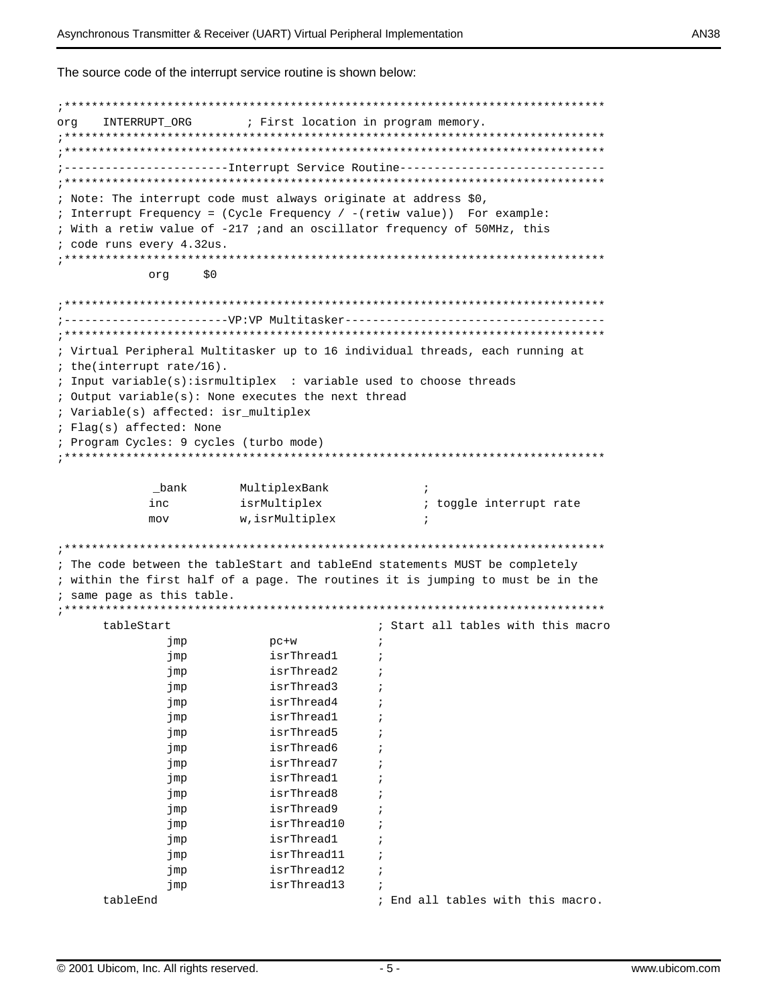The source code of the interrupt service routine is shown below:

```
ora
    INTERRUPT ORG
                 ; First location in program memory.
------------------Interrupt Service Routine------------------------------
; Note: The interrupt code must always originate at address $0,
; Interrupt Frequency = (Cycle Frequency / - (retiw value)) For example:
; With a retiw value of -217 ;and an oscillator frequency of 50MHz, this
; code runs every 4.32us.
: ************
                org
             $0; Virtual Peripheral Multitasker up to 16 individual threads, each running at
; the(interrupt rate/16).
; Input variable(s): isrmultiplex : variable used to choose threads
; Output variable(s): None executes the next thread
; Variable(s) affected: isr_multiplex
; Flag(s) affected: None
; Program Cycles: 9 cycles (turbo mode)
MultiplexBank
         _bank
                                  \cdotinc
                 isrMultiplex
                                  ; toggle interrupt rate
                 w, isrMultiplex
        mov
                                  \ddot{i}; The code between the tableStart and tableEnd statements MUST be completely
; within the first half of a page. The routines it is jumping to must be in the
; same page as this table.
tableStart
                              ; Start all tables with this macro
          jmp
                   pc+w\cdot:
          jmp
                    isrThread1
                              \cdotisrThread2
          imp
                              \cdotisrThread3
          jmp
                              \cdotisrThread4
          jmp
                              \cdotjmp
                    isrThread1
                    isrThread5
          imp
                              \cdotisrThread6
          jmp
                              \cdotisrThread7
                              \cdotjmp
                    isrThread1
          jmp
                              \cdotisrThread8
          jmp
                              \cdotimp
                    isrThread9
                              \cdotisrThread10
          jmp
                              \cdotisrThread1
          imp
                              \cdotisrThread11
          jmp
                              \cdotisrThread12
          jmp
                             \cdot:
          jmp
                    isrThread13
    tableEnd
                              ; End all tables with this macro.
```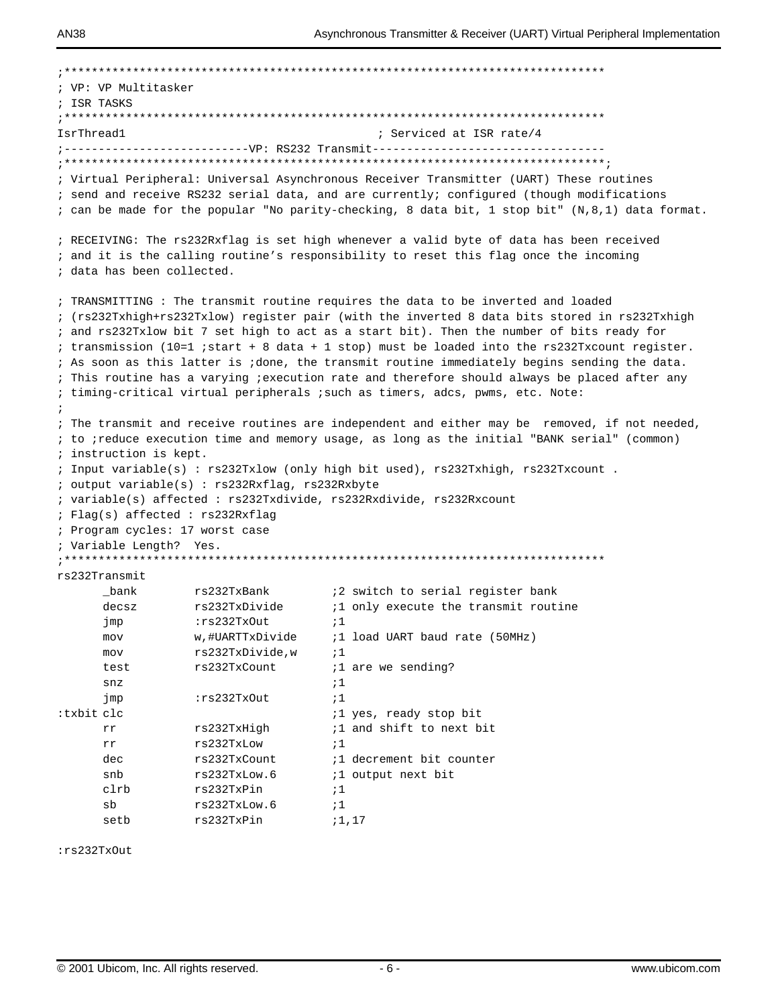|             | ; VP: VP Multitasker             |                                                 |                                                                                                 |
|-------------|----------------------------------|-------------------------------------------------|-------------------------------------------------------------------------------------------------|
| ; ISR TASKS |                                  |                                                 |                                                                                                 |
|             |                                  |                                                 |                                                                                                 |
| IsrThread1  |                                  |                                                 | ; Serviced at ISR rate/4                                                                        |
|             |                                  |                                                 | ;----------------------------VP: RS232 Transmit---------------------------------                |
|             |                                  |                                                 |                                                                                                 |
|             |                                  |                                                 | ; Virtual Peripheral: Universal Asynchronous Receiver Transmitter (UART) These routines         |
|             |                                  |                                                 | ; send and receive RS232 serial data, and are currently; configured (though modifications       |
|             |                                  |                                                 | ; can be made for the popular "No parity-checking, 8 data bit, 1 stop bit" (N,8,1) data format. |
|             |                                  |                                                 | ; RECEIVING: The rs232Rxflaq is set high whenever a valid byte of data has been received        |
|             |                                  |                                                 | ; and it is the calling routine's responsibility to reset this flag once the incoming           |
|             | ; data has been collected.       |                                                 |                                                                                                 |
|             |                                  |                                                 | ; TRANSMITTING: The transmit routine requires the data to be inverted and loaded                |
|             |                                  |                                                 | ; (rs232Txhigh+rs232Txlow) register pair (with the inverted 8 data bits stored in rs232Txhigh   |
|             |                                  |                                                 | ; and rs232Txlow bit 7 set high to act as a start bit). Then the number of bits ready for       |
|             |                                  |                                                 | ; transmission (10=1 ;start + 8 data + 1 stop) must be loaded into the rs232Txcount register.   |
|             |                                  |                                                 | ; As soon as this latter is ;done, the transmit routine immediately begins sending the data.    |
|             |                                  |                                                 | ; This routine has a varying ; execution rate and therefore should always be placed after any   |
|             |                                  |                                                 | ; timing-critical virtual peripherals ; such as timers, adcs, pwms, etc. Note:                  |
|             |                                  |                                                 |                                                                                                 |
|             |                                  |                                                 | ; The transmit and receive routines are independent and either may be removed, if not needed,   |
|             |                                  |                                                 | ; to ;reduce execution time and memory usage, as long as the initial "BANK serial" (common)     |
|             | ; instruction is kept.           |                                                 |                                                                                                 |
|             |                                  |                                                 | ; Input variable(s): rs232Txlow (only high bit used), rs232Txhigh, rs232Txcount.                |
|             |                                  | ; output variable(s) : rs232Rxflag, rs232Rxbyte |                                                                                                 |
|             |                                  |                                                 | ; variable(s) affected: rs232Txdivide, rs232Rxdivide, rs232Rxcount                              |
|             | : Flag(s) affected : rs232Rxflag |                                                 |                                                                                                 |
|             | ; Program cycles: 17 worst case  |                                                 |                                                                                                 |
|             | ; Variable Length? Yes.          |                                                 |                                                                                                 |
|             |                                  |                                                 |                                                                                                 |
|             | rs232Transmit                    |                                                 |                                                                                                 |
|             | bank                             | rs232TxBank                                     | :2 switch to serial register bank                                                               |
|             | decsz                            | rs232TxDivide                                   | <i>i</i> 1 only execute the transmit routine                                                    |
|             | jmp                              | :rs232TxOut                                     | ;1                                                                                              |
|             | mov                              | w,#UARTTxDivide                                 | ;1 load UART baud rate (50MHz)                                                                  |
|             | mov                              | rs232TxDivide, w                                | ;1                                                                                              |
|             | test                             | rs232TxCount                                    | <i>i</i> 1 are we sending?                                                                      |
|             | snz                              |                                                 | ;1                                                                                              |
|             | jmp                              | :rs232TxOut                                     | :1                                                                                              |
| :txbit clc  |                                  |                                                 | <i>i</i> 1 yes, ready stop bit                                                                  |
|             | rr                               | rs232TxHigh                                     | <i>i</i> 1 and shift to next bit                                                                |
|             | rr                               | rs232TxLow                                      | $\frac{1}{2}$                                                                                   |
|             | dec                              | rs232TxCount                                    | <i>i</i> 1 decrement bit counter                                                                |
|             | snb                              | rs232TxLow.6                                    | <i>i</i> 1 output next bit                                                                      |
|             | clrb                             | rs232TxPin                                      | ;1                                                                                              |
|             | sb                               | rs232TxLow.6                                    | $\frac{1}{2}$                                                                                   |
|             | setb                             | rs232TxPin                                      | ;1,17                                                                                           |

:rs232TxOut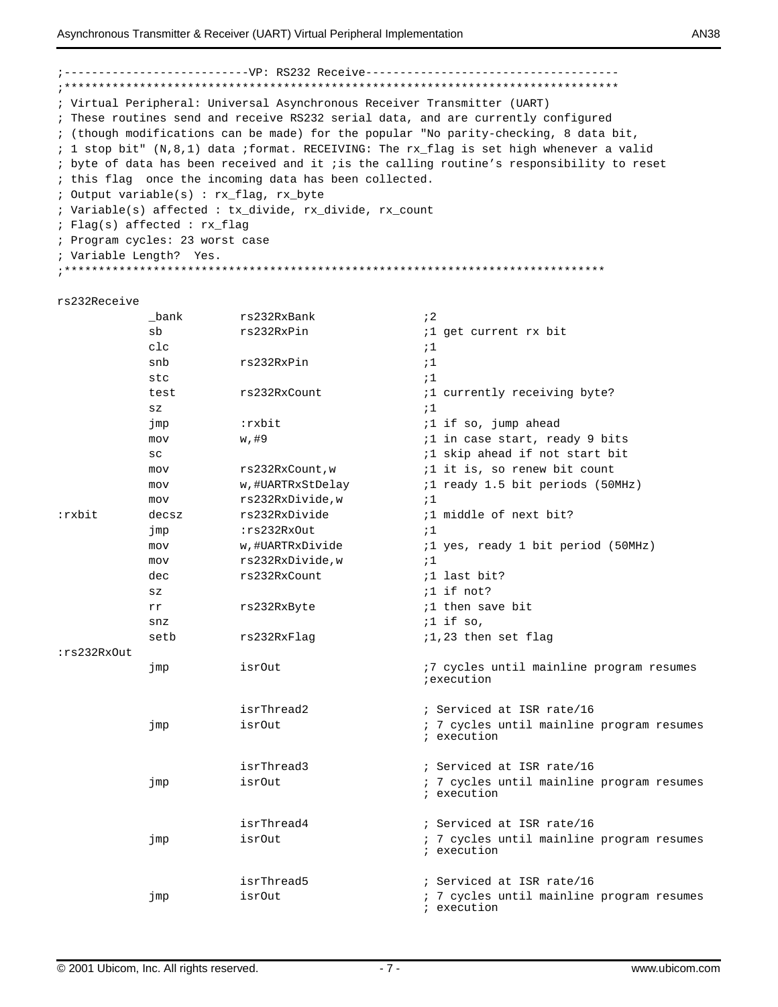#### ; Virtual Peripheral: Universal Asynchronous Receiver Transmitter (UART) ; These routines send and receive RS232 serial data, and are currently configured ; (though modifications can be made) for the popular "No parity-checking, 8 data bit, ; 1 stop bit" (N,8,1) data ; format. RECEIVING: The rx\_flag is set high whenever a valid ; byte of data has been received and it ; is the calling routine's responsibility to reset ; this flag once the incoming data has been collected. ; Output variable(s) : rx\_flag, rx\_byte ; Variable(s) affected : tx\_divide, rx\_divide, rx\_count ; Flag(s) affected : rx\_flag ; Program cycles: 23 worst case ; Variable Length? Yes. rs232Receive bank rs232RxBank  $\mathbf{12}$  $sb$ rs232RxPin *i*1 get current rx bit  $C<sub>2</sub>$  $:1$ rs232RxPin snb  $;1$  $stc$  $;1$ test rs232RxCount ;1 currently receiving byte?  $SZ$  $;1$ jmp :rxbit ;1 if so, jump ahead mov  $w, #9$ ;1 in case start, ready 9 bits ;1 skip ahead if not start bit  $SC$ rs232RxCount, w *i*1 it is, so renew bit count mov ;1 ready 1.5 bit periods (50MHz)  $m \cap v$ w, #UARTRxStDelay rs232RxDivide.w mov  $\cdot$  1 :rxbit rs232RxDivide ;1 middle of next bit? decsz jmp :rs232RxOut  $\mathbf{1}$ w,#UARTRxDivide ;1 yes, ready 1 bit period (50MHz) mov mov rs232RxDivide,w  $:1$ rs232RxCount ;1 last bit? dec  $;1$  if not?  $SZ$ rs232RxByte *i*1 then save bit rr  $i1$  if so,  $snz$ setb rs232RxFlag ;1,23 then set flag :rs232RxOut isrOut :7 cycles until mainline program resumes jmp iexecution isrThread2 ; Serviced at ISR rate/16 jmp isrOut ; 7 cycles until mainline program resumes ; execution isrThread3 ; Serviced at ISR rate/16 jmp isrOut ; 7 cycles until mainline program resumes ; execution isrThread4 ; Serviced at ISR rate/16 jmp isrOut ; 7 cycles until mainline program resumes ; execution isrThread5 ; Serviced at ISR rate/16 isrOut ; 7 cycles until mainline program resumes jmp ; execution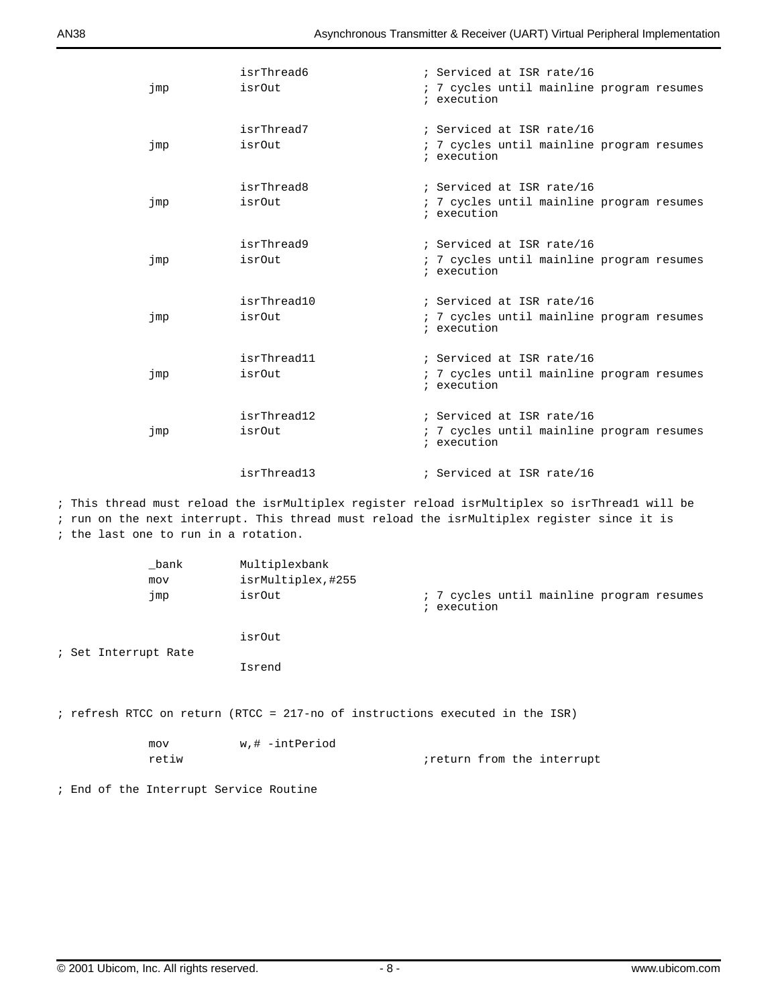| jmp | isrThread6<br><i>isrOut</i> | ; Serviced at ISR rate/16<br>; 7 cycles until mainline program resumes<br>; execution |
|-----|-----------------------------|---------------------------------------------------------------------------------------|
| jmp | isrThread7<br>isrOut        | ; Serviced at ISR rate/16<br>: 7 cycles until mainline program resumes<br>; execution |
| jmp | isrThread8<br>isrOut        | ; Serviced at ISR rate/16<br>: 7 cycles until mainline program resumes<br>; execution |
| jmp | isrThread9<br>isrOut        | ; Serviced at ISR rate/16<br>; 7 cycles until mainline program resumes<br>; execution |
| jmp | isrThread10<br>isrOut       | ; Serviced at ISR rate/16<br>: 7 cycles until mainline program resumes<br>; execution |
| jmp | isrThread11<br>isrOut       | ; Serviced at ISR rate/16<br>; 7 cycles until mainline program resumes<br>; execution |
| jmp | isrThread12<br>isrOut       | ; Serviced at ISR rate/16<br>: 7 cycles until mainline program resumes<br>; execution |
|     | isrThread13                 | ; Serviced at ISR rate/16                                                             |

; This thread must reload the isrMultiplex register reload isrMultiplex so isrThread1 will be ; run on the next interrupt. This thread must reload the isrMultiplex register since it is ; the last one to run in a rotation.

| bank<br>mov<br>jmp   | Multiplexbank<br>isrMultiplex, #255<br>isrOut                                | ; 7 cycles until mainline program resumes<br>; execution |
|----------------------|------------------------------------------------------------------------------|----------------------------------------------------------|
| ; Set Interrupt Rate | isrOut<br>Isrend                                                             |                                                          |
|                      | ; refresh RTCC on return (RTCC = 217-no of instructions executed in the ISR) |                                                          |
| mov<br>retiw         | w,# -intPeriod                                                               | ireturn from the interrupt                               |

; End of the Interrupt Service Routine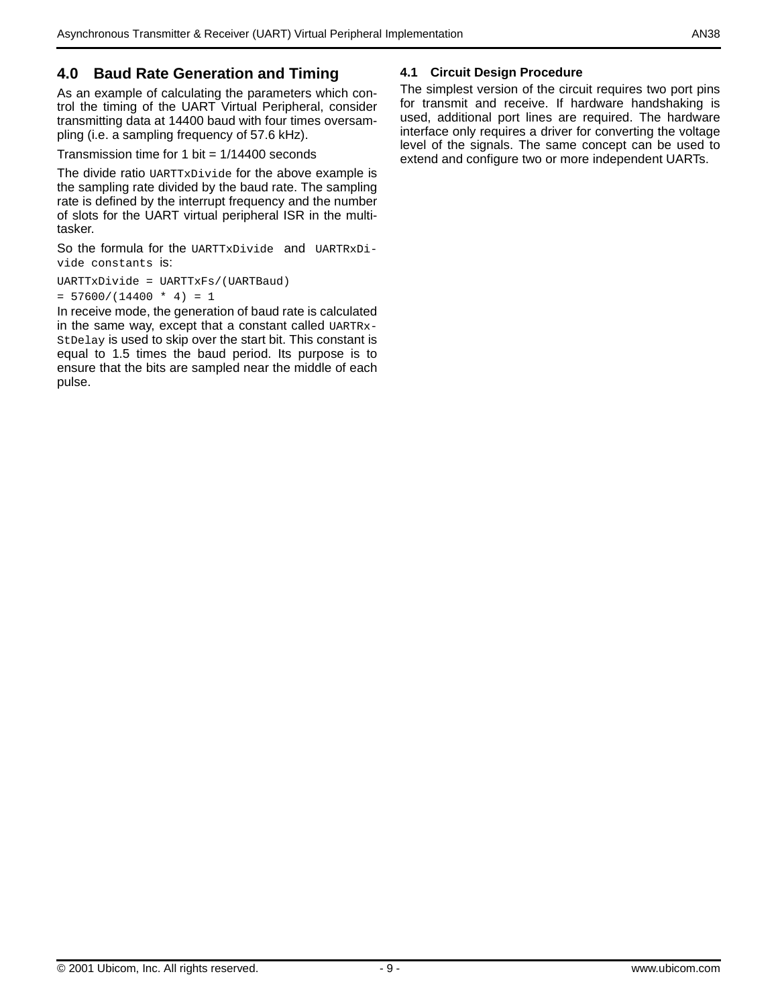## **4.0 Baud Rate Generation and Timing**

As an example of calculating the parameters which control the timing of the UART Virtual Peripheral, consider transmitting data at 14400 baud with four times oversampling (i.e. a sampling frequency of 57.6 kHz).

Transmission time for 1 bit  $= 1/14400$  seconds

The divide ratio UARTTxDivide for the above example is the sampling rate divided by the baud rate. The sampling rate is defined by the interrupt frequency and the number of slots for the UART virtual peripheral ISR in the multitasker.

So the formula for the UARTTxDivide and UARTRxDivide constants is:

UARTTxDivide = UARTTxFs/(UARTBaud)  $= 57600/(14400 * 4) = 1$ 

In receive mode, the generation of baud rate is calculated in the same way, except that a constant called UARTRx-StDelay is used to skip over the start bit. This constant is equal to 1.5 times the baud period. Its purpose is to ensure that the bits are sampled near the middle of each pulse.

#### **4.1 Circuit Design Procedure**

The simplest version of the circuit requires two port pins for transmit and receive. If hardware handshaking is used, additional port lines are required. The hardware interface only requires a driver for converting the voltage level of the signals. The same concept can be used to extend and configure two or more independent UARTs.